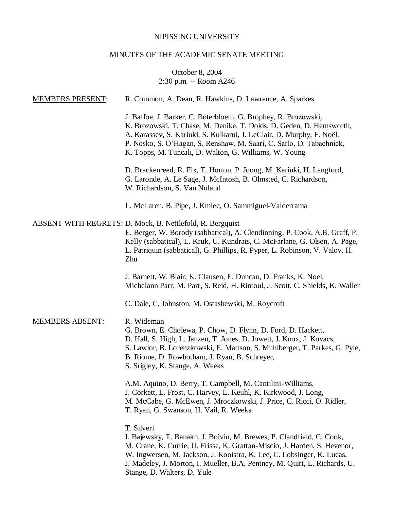# NIPISSING UNIVERSITY

# MINUTES OF THE ACADEMIC SENATE MEETING

# October 8, 2004 2:30 p.m. -- Room A246

| <b>MEMBERS PRESENT:</b> | R. Common, A. Dean, R. Hawkins, D. Lawrence, A. Sparkes                                                                                                                                                                                                                                                                                                 |
|-------------------------|---------------------------------------------------------------------------------------------------------------------------------------------------------------------------------------------------------------------------------------------------------------------------------------------------------------------------------------------------------|
|                         | J. Baffoe, J. Barker, C. Boterbloem, G. Brophey, R. Brozowski,<br>K. Brozowski, T. Chase, M. Denike, T. Dokis, D. Geden, D. Hemsworth,<br>A. Karassev, S. Kariuki, S. Kulkarni, J. LeClair, D. Murphy, F. Noël,<br>P. Nosko, S. O'Hagan, S. Renshaw, M. Saari, C. Sarlo, D. Tabachnick,<br>K. Topps, M. Tuncali, D. Walton, G. Williams, W. Young       |
|                         | D. Brackenreed, R. Fix, T. Horton, P. Joong, M. Kariuki, H. Langford,<br>G. Laronde, A. Le Sage, J. McIntosh, B. Olmsted, C. Richardson,<br>W. Richardson, S. Van Nuland                                                                                                                                                                                |
|                         | L. McLaren, B. Pipe, J. Kmiec, O. Sammiguel-Valderrama                                                                                                                                                                                                                                                                                                  |
|                         | <b>ABSENT WITH REGRETS: D. Mock, B. Nettlefold, R. Bergquist</b><br>E. Berger, W. Borody (sabbatical), A. Clendinning, P. Cook, A.B. Graff, P.<br>Kelly (sabbatical), L. Kruk, U. Kundrats, C. McFarlane, G. Olsen, A. Page,<br>L. Patriquin (sabbatical), G. Phillips, R. Pyper, L. Robinson, V. Valov, H.<br>Zhu                                      |
|                         | J. Barnett, W. Blair, K. Clausen, E. Duncan, D. Franks, K. Noel,<br>Michelann Parr, M. Parr, S. Reid, H. Rintoul, J. Scott, C. Shields, K. Waller                                                                                                                                                                                                       |
|                         | C. Dale, C. Johnston, M. Ostashewski, M. Roycroft                                                                                                                                                                                                                                                                                                       |
| <b>MEMBERS ABSENT:</b>  | R. Wideman<br>G. Brown, E. Cholewa, P. Chow, D. Flynn, D. Ford, D. Hackett,<br>D. Hall, S. High, L. Janzen, T. Jones, D. Jowett, J. Knox, J. Kovacs,<br>S. Lawlor, B. Lorenzkowski, E. Mattson, S. Muhlberger, T. Parkes, G. Pyle,<br>B. Riome, D. Rowbotham, J. Ryan, B. Schreyer,<br>S. Srigley, K. Stange, A. Weeks                                  |
|                         | A.M. Aquino, D. Berry, T. Campbell, M. Cantilini-Williams,<br>J. Corkett, L. Frost, C. Harvey, L. Keuhl, K. Kirkwood, J. Long,<br>M. McCabe, G. McEwen, J. Mroczkowski, J. Price, C. Ricci, O. Ridler,<br>T. Ryan, G. Swanson, H. Vail, R. Weeks                                                                                                        |
|                         | T. Silveri<br>I. Bajewsky, T. Banakh, J. Boivin, M. Brewes, P. Clandfield, C. Cook,<br>M. Crane, K. Currie, U. Frisse, K. Grattan-Miscio, J. Harden, S. Hevenor,<br>W. Ingwersen, M. Jackson, J. Kooistra, K. Lee, C. Lobsinger, K. Lucas,<br>J. Madeley, J. Morton, I. Mueller, B.A. Pentney, M. Quirt, L. Richards, U.<br>Stange, D. Walters, D. Yule |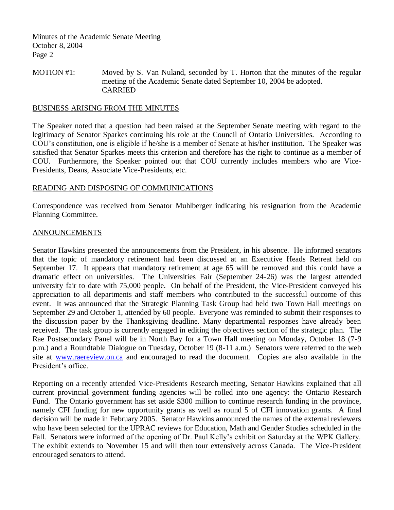MOTION #1: Moved by S. Van Nuland, seconded by T. Horton that the minutes of the regular meeting of the Academic Senate dated September 10, 2004 be adopted. CARRIED

### BUSINESS ARISING FROM THE MINUTES

The Speaker noted that a question had been raised at the September Senate meeting with regard to the legitimacy of Senator Sparkes continuing his role at the Council of Ontario Universities. According to COU's constitution, one is eligible if he/she is a member of Senate at his/her institution. The Speaker was satisfied that Senator Sparkes meets this criterion and therefore has the right to continue as a member of COU. Furthermore, the Speaker pointed out that COU currently includes members who are Vice-Presidents, Deans, Associate Vice-Presidents, etc.

## READING AND DISPOSING OF COMMUNICATIONS

Correspondence was received from Senator Muhlberger indicating his resignation from the Academic Planning Committee.

### ANNOUNCEMENTS

Senator Hawkins presented the announcements from the President, in his absence. He informed senators that the topic of mandatory retirement had been discussed at an Executive Heads Retreat held on September 17. It appears that mandatory retirement at age 65 will be removed and this could have a dramatic effect on universities. The Universities Fair (September 24-26) was the largest attended university fair to date with 75,000 people. On behalf of the President, the Vice-President conveyed his appreciation to all departments and staff members who contributed to the successful outcome of this event. It was announced that the Strategic Planning Task Group had held two Town Hall meetings on September 29 and October 1, attended by 60 people. Everyone was reminded to submit their responses to the discussion paper by the Thanksgiving deadline. Many departmental responses have already been received. The task group is currently engaged in editing the objectives section of the strategic plan. The Rae Postsecondary Panel will be in North Bay for a Town Hall meeting on Monday, October 18 (7-9 p.m.) and a Roundtable Dialogue on Tuesday, October 19 (8-11 a.m.) Senators were referred to the web site at [www.raereview.on.ca](http://www.raereview.on.ca/) and encouraged to read the document. Copies are also available in the President's office.

Reporting on a recently attended Vice-Presidents Research meeting, Senator Hawkins explained that all current provincial government funding agencies will be rolled into one agency: the Ontario Research Fund. The Ontario government has set aside \$300 million to continue research funding in the province, namely CFI funding for new opportunity grants as well as round 5 of CFI innovation grants. A final decision will be made in February 2005. Senator Hawkins announced the names of the external reviewers who have been selected for the UPRAC reviews for Education, Math and Gender Studies scheduled in the Fall. Senators were informed of the opening of Dr. Paul Kelly's exhibit on Saturday at the WPK Gallery. The exhibit extends to November 15 and will then tour extensively across Canada. The Vice-President encouraged senators to attend.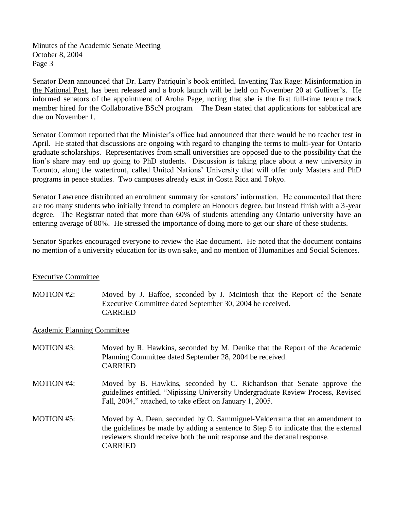Senator Dean announced that Dr. Larry Patriquin's book entitled, Inventing Tax Rage: Misinformation in the National Post, has been released and a book launch will be held on November 20 at Gulliver's. He informed senators of the appointment of Aroha Page, noting that she is the first full-time tenure track member hired for the Collaborative BScN program. The Dean stated that applications for sabbatical are due on November 1.

Senator Common reported that the Minister's office had announced that there would be no teacher test in April. He stated that discussions are ongoing with regard to changing the terms to multi-year for Ontario graduate scholarships. Representatives from small universities are opposed due to the possibility that the lion's share may end up going to PhD students. Discussion is taking place about a new university in Toronto, along the waterfront, called United Nations' University that will offer only Masters and PhD programs in peace studies. Two campuses already exist in Costa Rica and Tokyo.

Senator Lawrence distributed an enrolment summary for senators' information. He commented that there are too many students who initially intend to complete an Honours degree, but instead finish with a 3-year degree. The Registrar noted that more than 60% of students attending any Ontario university have an entering average of 80%. He stressed the importance of doing more to get our share of these students.

Senator Sparkes encouraged everyone to review the Rae document. He noted that the document contains no mention of a university education for its own sake, and no mention of Humanities and Social Sciences.

## Executive Committee

MOTION #2: Moved by J. Baffoe, seconded by J. McIntosh that the Report of the Senate Executive Committee dated September 30, 2004 be received. CARRIED

#### Academic Planning Committee

- MOTION #3: Moved by R. Hawkins, seconded by M. Denike that the Report of the Academic Planning Committee dated September 28, 2004 be received. CARRIED
- MOTION #4: Moved by B. Hawkins, seconded by C. Richardson that Senate approve the guidelines entitled, "Nipissing University Undergraduate Review Process, Revised Fall, 2004," attached, to take effect on January 1, 2005.
- MOTION #5: Moved by A. Dean, seconded by O. Sammiguel-Valderrama that an amendment to the guidelines be made by adding a sentence to Step 5 to indicate that the external reviewers should receive both the unit response and the decanal response. CARRIED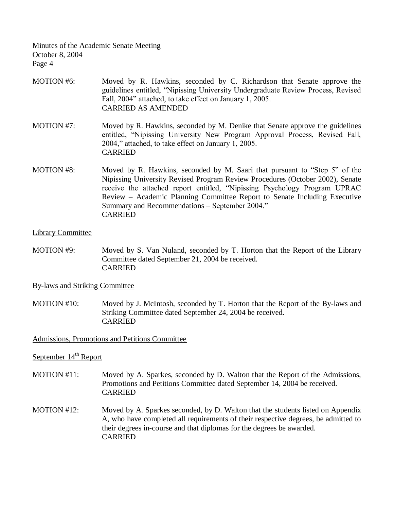- MOTION #6: Moved by R. Hawkins, seconded by C. Richardson that Senate approve the guidelines entitled, "Nipissing University Undergraduate Review Process, Revised Fall, 2004" attached, to take effect on January 1, 2005. CARRIED AS AMENDED
- MOTION #7: Moved by R. Hawkins, seconded by M. Denike that Senate approve the guidelines entitled, "Nipissing University New Program Approval Process, Revised Fall, 2004," attached, to take effect on January 1, 2005. CARRIED
- MOTION #8: Moved by R. Hawkins, seconded by M. Saari that pursuant to "Step 5" of the Nipissing University Revised Program Review Procedures (October 2002), Senate receive the attached report entitled, "Nipissing Psychology Program UPRAC Review – Academic Planning Committee Report to Senate Including Executive Summary and Recommendations – September 2004." CARRIED

### Library Committee

MOTION #9: Moved by S. Van Nuland, seconded by T. Horton that the Report of the Library Committee dated September 21, 2004 be received. CARRIED

By-laws and Striking Committee

MOTION #10: Moved by J. McIntosh, seconded by T. Horton that the Report of the By-laws and Striking Committee dated September 24, 2004 be received. CARRIED

Admissions, Promotions and Petitions Committee

# September 14<sup>th</sup> Report

- MOTION #11: Moved by A. Sparkes, seconded by D. Walton that the Report of the Admissions, Promotions and Petitions Committee dated September 14, 2004 be received. CARRIED
- MOTION #12: Moved by A. Sparkes seconded, by D. Walton that the students listed on Appendix A, who have completed all requirements of their respective degrees, be admitted to their degrees in-course and that diplomas for the degrees be awarded. CARRIED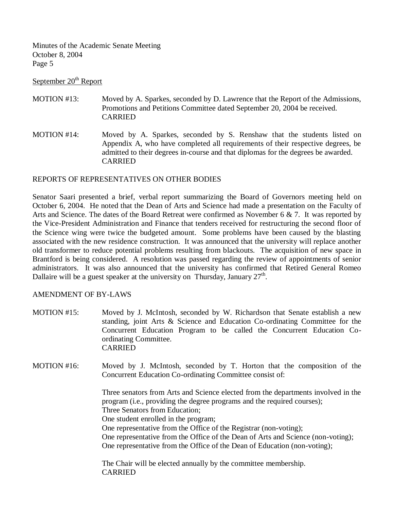September 20<sup>th</sup> Report

- MOTION #13: Moved by A. Sparkes, seconded by D. Lawrence that the Report of the Admissions, Promotions and Petitions Committee dated September 20, 2004 be received. CARRIED
- MOTION #14: Moved by A. Sparkes, seconded by S. Renshaw that the students listed on Appendix A, who have completed all requirements of their respective degrees, be admitted to their degrees in-course and that diplomas for the degrees be awarded. CARRIED

## REPORTS OF REPRESENTATIVES ON OTHER BODIES

Senator Saari presented a brief, verbal report summarizing the Board of Governors meeting held on October 6, 2004. He noted that the Dean of Arts and Science had made a presentation on the Faculty of Arts and Science. The dates of the Board Retreat were confirmed as November 6 & 7. It was reported by the Vice-President Administration and Finance that tenders received for restructuring the second floor of the Science wing were twice the budgeted amount. Some problems have been caused by the blasting associated with the new residence construction. It was announced that the university will replace another old transformer to reduce potential problems resulting from blackouts. The acquisition of new space in Brantford is being considered. A resolution was passed regarding the review of appointments of senior administrators. It was also announced that the university has confirmed that Retired General Romeo Dallaire will be a guest speaker at the university on Thursday, January  $27<sup>th</sup>$ .

## AMENDMENT OF BY-LAWS

- MOTION #15: Moved by J. McIntosh, seconded by W. Richardson that Senate establish a new standing, joint Arts & Science and Education Co-ordinating Committee for the Concurrent Education Program to be called the Concurrent Education Coordinating Committee. CARRIED
- MOTION #16: Moved by J. McIntosh, seconded by T. Horton that the composition of the Concurrent Education Co-ordinating Committee consist of:

Three senators from Arts and Science elected from the departments involved in the program (i.e., providing the degree programs and the required courses); Three Senators from Education; One student enrolled in the program; One representative from the Office of the Registrar (non-voting); One representative from the Office of the Dean of Arts and Science (non-voting); One representative from the Office of the Dean of Education (non-voting);

The Chair will be elected annually by the committee membership. CARRIED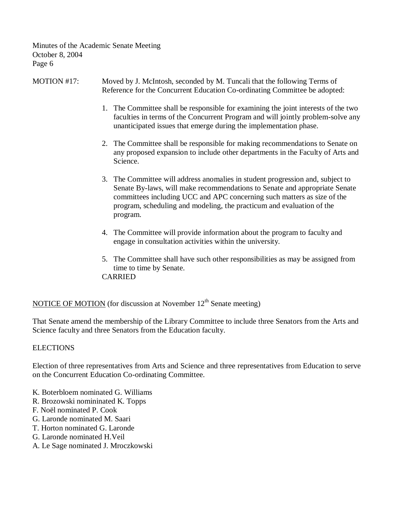- MOTION #17: Moved by J. McIntosh, seconded by M. Tuncali that the following Terms of Reference for the Concurrent Education Co-ordinating Committee be adopted:
	- 1. The Committee shall be responsible for examining the joint interests of the two faculties in terms of the Concurrent Program and will jointly problem-solve any unanticipated issues that emerge during the implementation phase.
	- 2. The Committee shall be responsible for making recommendations to Senate on any proposed expansion to include other departments in the Faculty of Arts and Science.
	- 3. The Committee will address anomalies in student progression and, subject to Senate By-laws, will make recommendations to Senate and appropriate Senate committees including UCC and APC concerning such matters as size of the program, scheduling and modeling, the practicum and evaluation of the program.
	- 4. The Committee will provide information about the program to faculty and engage in consultation activities within the university.
	- 5. The Committee shall have such other responsibilities as may be assigned from time to time by Senate. CARRIED

NOTICE OF MOTION (for discussion at November  $12<sup>th</sup>$  Senate meeting)

That Senate amend the membership of the Library Committee to include three Senators from the Arts and Science faculty and three Senators from the Education faculty.

## **ELECTIONS**

Election of three representatives from Arts and Science and three representatives from Education to serve on the Concurrent Education Co-ordinating Committee.

- K. Boterbloem nominated G. Williams
- R. Brozowski nomininated K. Topps
- F. Noël nominated P. Cook
- G. Laronde nominated M. Saari
- T. Horton nominated G. Laronde
- G. Laronde nominated H.Veil
- A. Le Sage nominated J. Mroczkowski